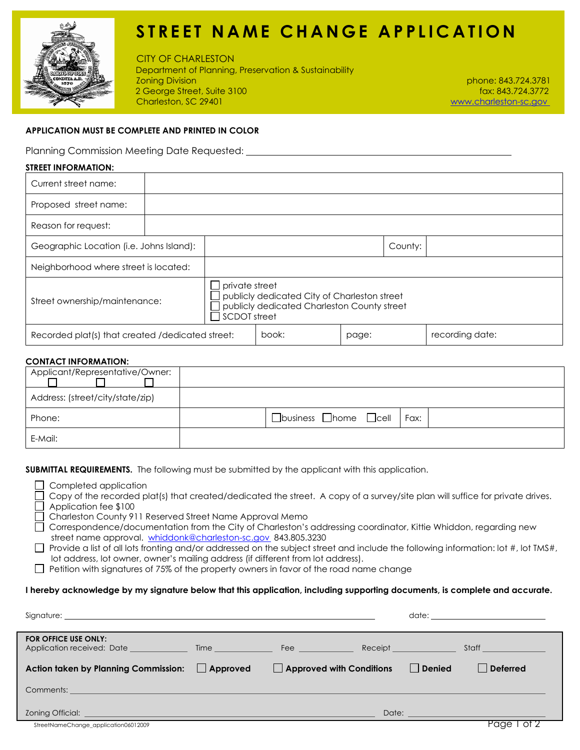

# **STREET NAME CHANGE APPLICATION**

 CITY OF CHARLESTONDepartment of Planning, Preservation & Sustainability Zoning Division phone: 843.724.3781 2 George Street, Suite 3100<br>Charleston, SC 29401

www.charleston-sc.gov

### **APPLICATION MUST BE COMPLETE AND PRINTED IN COLOR**

Planning Commission Meeting Date Requested:

#### **STREET INFORMATION:**

| Current street name:                             |                                          |  |                                                                                                                                      |       |         |                 |  |
|--------------------------------------------------|------------------------------------------|--|--------------------------------------------------------------------------------------------------------------------------------------|-------|---------|-----------------|--|
| Proposed street name:                            |                                          |  |                                                                                                                                      |       |         |                 |  |
| Reason for request:                              |                                          |  |                                                                                                                                      |       |         |                 |  |
|                                                  | Geographic Location (i.e. Johns Island): |  |                                                                                                                                      |       | County: |                 |  |
| Neighborhood where street is located:            |                                          |  |                                                                                                                                      |       |         |                 |  |
| Street ownership/maintenance:                    |                                          |  | private street<br>publicly dedicated City of Charleston street<br>publicly dedicated Charleston County street<br><b>SCDOT</b> street |       |         |                 |  |
| Recorded plat(s) that created /dedicated street: |                                          |  | book:                                                                                                                                | page: |         | recording date: |  |

#### **CONTACT INFORMATION:**

| Applicant/Representative/Owner:  |                                                 |
|----------------------------------|-------------------------------------------------|
| Address: (street/city/state/zip) |                                                 |
| Phone:                           | $\Box$ business $\Box$ home $\Box$ cell<br>Fax: |
| E-Mail:                          |                                                 |

**SUBMITTAL REQUIREMENTS.** The following must be submitted by the applicant with this application.

- Completed application
- Copy of the recorded plat(s) that created/dedicated the street. A copy of a survey/site plan will suffice for private drives. Application fee \$100
- Charleston County 911 Reserved Street Name Approval Memo
- Correspondence/documentation from the City of Charleston's addressing coordinator, Kittie Whiddon, regarding new street name approval. whiddonk@charleston-sc.gov 843.805.3230
- Provide a list of all lots fronting and/or addressed on the subject street and include the following information: lot #, lot TMS#, lot address, lot owner, owner's mailing address (if different from lot address).
- $\Box$  Petition with signatures of 75% of the property owners in favor of the road name change

#### **I hereby acknowledge by my signature below that this application, including supporting documents, is complete and accurate.**

|                                                                                                                                                                                                                                  |                                 |        | date: <u>____________</u>                                                                                                                                                                                                            |
|----------------------------------------------------------------------------------------------------------------------------------------------------------------------------------------------------------------------------------|---------------------------------|--------|--------------------------------------------------------------------------------------------------------------------------------------------------------------------------------------------------------------------------------------|
| FOR OFFICE USE ONLY:                                                                                                                                                                                                             |                                 |        |                                                                                                                                                                                                                                      |
| Action taken by Planning Commission: Approved                                                                                                                                                                                    | $\Box$ Approved with Conditions | Denied | Deferred                                                                                                                                                                                                                             |
| Comments: <b>Example 2018 Comments: Comments: Comments: Comments: Comments: Comments: Comments: Comments: Comments: Comments: Comments: Comments: Comments: Comments: Comments: </b> Comments: <b>Commen</b>                     |                                 |        |                                                                                                                                                                                                                                      |
| <b>Zoning Official: Example 2008 Contract Contract Contract Contract Contract Contract Contract Contract Contract Contract Contract Contract Contract Contract Contract Contract Contract Contract Contract Contract Contrac</b> |                                 |        | Date: <u>Date: Electronic Contract of Contract Contract Contract Contract Contract Contract Contract Contract Contract Contract Contract Contract Contract Contract Contract Contract Contract Contract Contract Contract Contra</u> |
| StreetNameChange_application06012009                                                                                                                                                                                             |                                 |        | Page 1                                                                                                                                                                                                                               |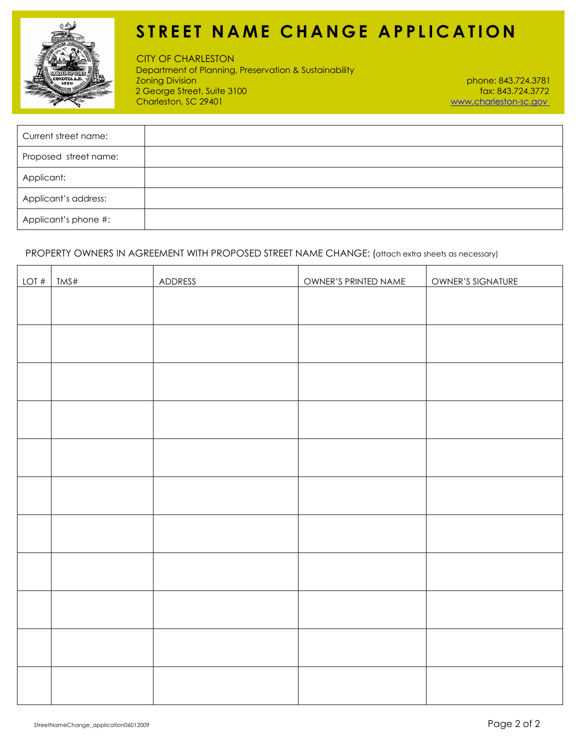

# **STREET NAME CHANGE APPLICATION**

 CITY OF CHARLESTONDepartment of Planning, Preservation & Sustainability Zoning Division phone: 843.724.3781 2 George Street, Suite 3100<br>Charleston, SC 29401

www.charleston-sc.gov

| Current street name:  |  |
|-----------------------|--|
| Proposed street name: |  |
| Applicant:            |  |
| Applicant's address:  |  |
| Applicant's phone #:  |  |

PROPERTY OWNERS IN AGREEMENT WITH PROPOSED STREET NAME CHANGE: (attach extra sheets as necessary)

| LOT# | TMS# | ADDRESS | OWNER'S PRINTED NAME | OWNER'S SIGNATURE |
|------|------|---------|----------------------|-------------------|
|      |      |         |                      |                   |
|      |      |         |                      |                   |
|      |      |         |                      |                   |
|      |      |         |                      |                   |
|      |      |         |                      |                   |
|      |      |         |                      |                   |
|      |      |         |                      |                   |
|      |      |         |                      |                   |
|      |      |         |                      |                   |
|      |      |         |                      |                   |
|      |      |         |                      |                   |
|      |      |         |                      |                   |
|      |      |         |                      |                   |
|      |      |         |                      |                   |
|      |      |         |                      |                   |
|      |      |         |                      |                   |
|      |      |         |                      |                   |
|      |      |         |                      |                   |
|      |      |         |                      |                   |
|      |      |         |                      |                   |